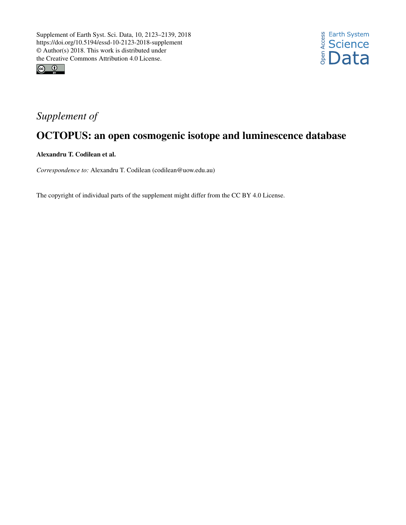



## *Supplement of*

## OCTOPUS: an open cosmogenic isotope and luminescence database

Alexandru T. Codilean et al.

*Correspondence to:* Alexandru T. Codilean (codilean@uow.edu.au)

The copyright of individual parts of the supplement might differ from the CC BY 4.0 License.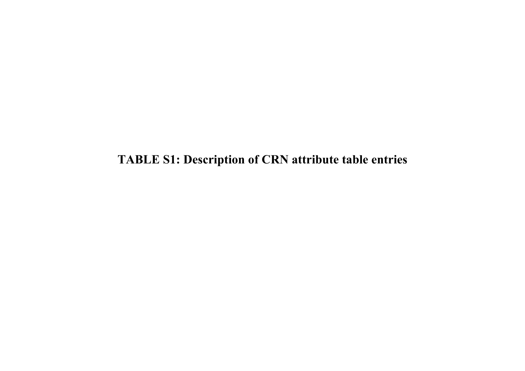**TABLE S1: Description of CRN attribute table entries**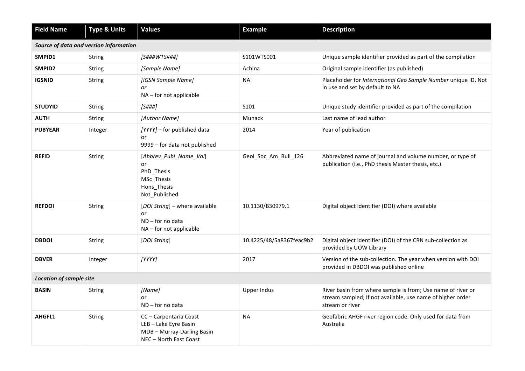| <b>Field Name</b>              | <b>Type &amp; Units</b>                | <b>Values</b>                                                                                         | <b>Example</b>           | <b>Description</b>                                                                                                                           |
|--------------------------------|----------------------------------------|-------------------------------------------------------------------------------------------------------|--------------------------|----------------------------------------------------------------------------------------------------------------------------------------------|
|                                | Source of data and version information |                                                                                                       |                          |                                                                                                                                              |
| SMPID1                         | String                                 | [S###WTS###]                                                                                          | S101WTS001               | Unique sample identifier provided as part of the compilation                                                                                 |
| SMPID2                         | String                                 | [Sample Name]                                                                                         | Achina                   | Original sample identifier (as published)                                                                                                    |
| <b>IGSNID</b>                  | String                                 | [IGSN Sample Name]<br>or<br>NA - for not applicable                                                   | <b>NA</b>                | Placeholder for International Geo Sample Number unique ID. Not<br>in use and set by default to NA                                            |
| <b>STUDYID</b>                 | <b>String</b>                          | [S###]                                                                                                | S101                     | Unique study identifier provided as part of the compilation                                                                                  |
| <b>AUTH</b>                    | String                                 | [Author Name]                                                                                         | <b>Munack</b>            | Last name of lead author                                                                                                                     |
| <b>PUBYEAR</b>                 | Integer                                | [YYYY] - for published data<br>or<br>9999 - for data not published                                    | 2014                     | Year of publication                                                                                                                          |
| <b>REFID</b>                   | String                                 | [Abbrev_Publ_Name_Vol]<br>or<br>PhD_Thesis<br>MSc_Thesis<br>Hons Thesis<br>Not Published              | Geol_Soc_Am_Bull_126     | Abbreviated name of journal and volume number, or type of<br>publication (i.e., PhD thesis Master thesis, etc.)                              |
| <b>REFDOI</b>                  | <b>String</b>                          | [DOI String] - where available<br>or<br>$ND$ – for no data<br>NA - for not applicable                 | 10.1130/B30979.1         | Digital object identifier (DOI) where available                                                                                              |
| <b>DBDOI</b>                   | String                                 | [DOI String]                                                                                          | 10.4225/48/5a8367feac9b2 | Digital object identifier (DOI) of the CRN sub-collection as<br>provided by UOW Library                                                      |
| <b>DBVER</b>                   | Integer                                | [YYYY]                                                                                                | 2017                     | Version of the sub-collection. The year when version with DOI<br>provided in DBDOI was published online                                      |
| <b>Location of sample site</b> |                                        |                                                                                                       |                          |                                                                                                                                              |
| <b>BASIN</b>                   | String                                 | [Name]<br>or<br>$ND$ – for no data                                                                    | <b>Upper Indus</b>       | River basin from where sample is from; Use name of river or<br>stream sampled; If not available, use name of higher order<br>stream or river |
| AHGFL1                         | String                                 | CC - Carpentaria Coast<br>LEB-Lake Eyre Basin<br>MDB - Murray-Darling Basin<br>NEC - North East Coast | <b>NA</b>                | Geofabric AHGF river region code. Only used for data from<br>Australia                                                                       |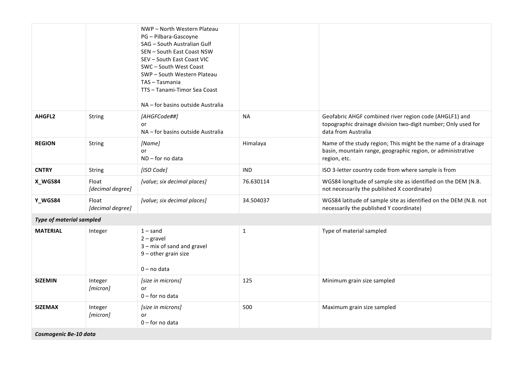|                                 |                           | NWP - North Western Plateau<br>PG - Pilbara-Gascoyne<br>SAG - South Australian Gulf<br>SEN - South East Coast NSW<br>SEV - South East Coast VIC<br>SWC - South West Coast<br>SWP-South Western Plateau<br>TAS - Tasmania<br>TTS - Tanami-Timor Sea Coast<br>NA - for basins outside Australia |              |                                                                                                                                                |
|---------------------------------|---------------------------|-----------------------------------------------------------------------------------------------------------------------------------------------------------------------------------------------------------------------------------------------------------------------------------------------|--------------|------------------------------------------------------------------------------------------------------------------------------------------------|
| AHGFL2                          | String                    | [AHGFCode##]<br>or<br>NA - for basins outside Australia                                                                                                                                                                                                                                       | <b>NA</b>    | Geofabric AHGF combined river region code (AHGLF1) and<br>topographic drainage division two-digit number; Only used for<br>data from Australia |
| <b>REGION</b>                   | String                    | [Name]<br>or<br>$ND$ – for no data                                                                                                                                                                                                                                                            | Himalaya     | Name of the study region; This might be the name of a drainage<br>basin, mountain range, geographic region, or administrative<br>region, etc.  |
| <b>CNTRY</b>                    | <b>String</b>             | [ISO Code]                                                                                                                                                                                                                                                                                    | <b>IND</b>   | ISO 3-letter country code from where sample is from                                                                                            |
| X_WGS84                         | Float<br>[decimal degree] | [value; six decimal places]                                                                                                                                                                                                                                                                   | 76.630114    | WGS84 longitude of sample site as identified on the DEM (N.B.<br>not necessarily the published X coordinate)                                   |
| Y_WGS84                         | Float<br>[decimal degree] | [value; six decimal places]                                                                                                                                                                                                                                                                   | 34.504037    | WGS84 latitude of sample site as identified on the DEM (N.B. not<br>necessarily the published Y coordinate)                                    |
| <b>Type of material sampled</b> |                           |                                                                                                                                                                                                                                                                                               |              |                                                                                                                                                |
| <b>MATERIAL</b>                 | Integer                   | $1 -$ sand<br>$2$ – gravel<br>3 - mix of sand and gravel<br>$9$ – other grain size<br>$0 - no$ data                                                                                                                                                                                           | $\mathbf{1}$ | Type of material sampled                                                                                                                       |
| <b>SIZEMIN</b>                  | Integer<br>[micron]       | [size in microns]<br><b>or</b><br>$0$ – for no data                                                                                                                                                                                                                                           | 125          | Minimum grain size sampled                                                                                                                     |
| <b>SIZEMAX</b>                  | Integer<br>[micron]       | [size in microns]<br>or<br>$0$ – for no data                                                                                                                                                                                                                                                  | 500          | Maximum grain size sampled                                                                                                                     |
| Cosmogenic Be-10 data           |                           |                                                                                                                                                                                                                                                                                               |              |                                                                                                                                                |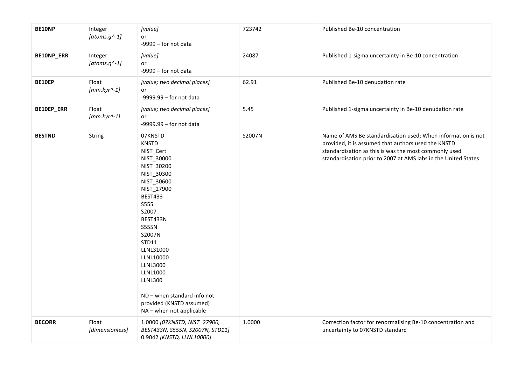| <b>BE10NP</b> | Integer<br>[atoms.g^-1]        | [value]<br>or<br>$-9999$ - for not data                                                                                                                                                                                                                                                                                                                                 | 723742 | Published Be-10 concentration                                                                                                                                                                                                                  |
|---------------|--------------------------------|-------------------------------------------------------------------------------------------------------------------------------------------------------------------------------------------------------------------------------------------------------------------------------------------------------------------------------------------------------------------------|--------|------------------------------------------------------------------------------------------------------------------------------------------------------------------------------------------------------------------------------------------------|
| BE10NP_ERR    | Integer<br>[atoms.g^-1]        | [value]<br>or<br>$-9999$ - for not data                                                                                                                                                                                                                                                                                                                                 | 24087  | Published 1-sigma uncertainty in Be-10 concentration                                                                                                                                                                                           |
| BE10EP        | Float<br>$[mm.kyr^4-1]$        | [value; two decimal places]<br>or<br>$-9999.99 -$ for not data                                                                                                                                                                                                                                                                                                          | 62.91  | Published Be-10 denudation rate                                                                                                                                                                                                                |
| BE10EP_ERR    | Float<br>$[mm.kyr^{\wedge}-1]$ | [value; two decimal places]<br>or<br>$-9999.99 -$ for not data                                                                                                                                                                                                                                                                                                          | 5.45   | Published 1-sigma uncertainty in Be-10 denudation rate                                                                                                                                                                                         |
| <b>BESTND</b> | String                         | 07KNSTD<br><b>KNSTD</b><br>NIST_Cert<br>NIST_30000<br>NIST_30200<br>NIST_30300<br>NIST_30600<br>NIST_27900<br><b>BEST433</b><br>S555<br>S2007<br>BEST433N<br><b>S555N</b><br>S2007N<br>STD11<br>LLNL31000<br>LLNL10000<br><b>LLNL3000</b><br><b>LLNL1000</b><br><b>LLNL300</b><br>$ND$ – when standard info not<br>provided (KNSTD assumed)<br>NA - when not applicable | S2007N | Name of AMS Be standardisation used; When information is not<br>provided, it is assumed that authors used the KNSTD<br>standardisation as this is was the most commonly used<br>standardisation prior to 2007 at AMS labs in the United States |
| <b>BECORR</b> | Float<br>[dimensionless]       | 1.0000 [07KNSTD, NIST_27900,<br>BEST433N, S555N, S2007N, STD11]<br>0.9042 [KNSTD, LLNL10000]                                                                                                                                                                                                                                                                            | 1.0000 | Correction factor for renormalising Be-10 concentration and<br>uncertainty to 07KNSTD standard                                                                                                                                                 |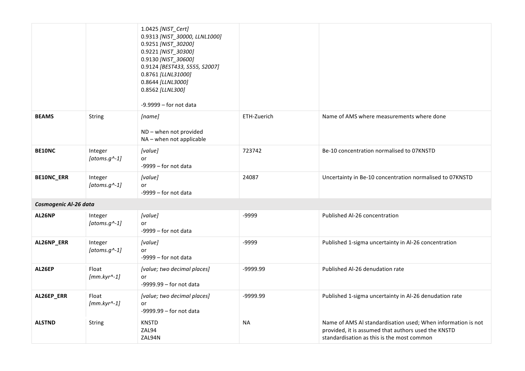|                       |                                | 1.0425 [NIST_Cert]<br>0.9313 [NIST_30000, LLNL1000]<br>0.9251 [NIST_30200]<br>0.9221 [NIST_30300]<br>0.9130 [NIST_30600]<br>0.9124 [BEST433, S555, S2007]<br>0.8761 [LLNL31000]<br>0.8644 [LLNL3000]<br>0.8562 [LLNL300]<br>$-9.9999 -$ for not data |             |                                                                                                                                                                   |
|-----------------------|--------------------------------|------------------------------------------------------------------------------------------------------------------------------------------------------------------------------------------------------------------------------------------------------|-------------|-------------------------------------------------------------------------------------------------------------------------------------------------------------------|
| <b>BEAMS</b>          | String                         | [name]<br>ND - when not provided<br>NA - when not applicable                                                                                                                                                                                         | ETH-Zuerich | Name of AMS where measurements where done                                                                                                                         |
| <b>BE10NC</b>         | Integer<br>[atoms.g^-1]        | [value]<br>or<br>-9999 - for not data                                                                                                                                                                                                                | 723742      | Be-10 concentration normalised to 07KNSTD                                                                                                                         |
| <b>BE10NC_ERR</b>     | Integer<br>[atoms.g^-1]        | [value]<br>or<br>$-9999$ – for not data                                                                                                                                                                                                              | 24087       | Uncertainty in Be-10 concentration normalised to 07KNSTD                                                                                                          |
| Cosmogenic Al-26 data |                                |                                                                                                                                                                                                                                                      |             |                                                                                                                                                                   |
| AL26NP                | Integer<br>[atoms.g^-1]        | [value]<br>or<br>$-9999$ - for not data                                                                                                                                                                                                              | -9999       | Published Al-26 concentration                                                                                                                                     |
| AL26NP_ERR            | Integer<br>[atoms.g^-1]        | [value]<br>or<br>$-9999$ – for not data                                                                                                                                                                                                              | -9999       | Published 1-sigma uncertainty in Al-26 concentration                                                                                                              |
| AL26EP                | Float<br>$[mm.kyr^4-1]$        | [value; two decimal places]<br>or<br>$-9999.99 -$ for not data                                                                                                                                                                                       | -9999.99    | Published Al-26 denudation rate                                                                                                                                   |
| AL26EP_ERR            | Float<br>$[mm.kyr^{\wedge}-1]$ | [value; two decimal places]<br>or<br>$-9999.99 -$ for not data                                                                                                                                                                                       | -9999.99    | Published 1-sigma uncertainty in Al-26 denudation rate                                                                                                            |
| <b>ALSTND</b>         | String                         | <b>KNSTD</b><br>ZAL94<br>ZAL94N                                                                                                                                                                                                                      | <b>NA</b>   | Name of AMS Al standardisation used; When information is not<br>provided, it is assumed that authors used the KNSTD<br>standardisation as this is the most common |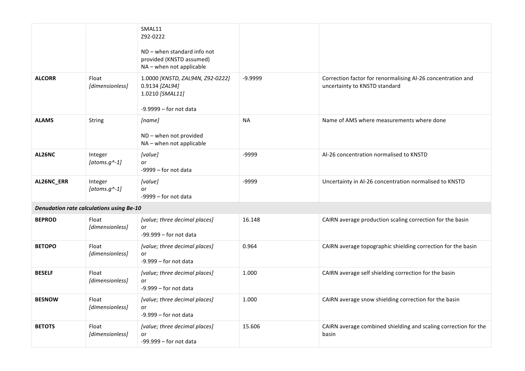|               |                                                 | SMAL11<br>Z92-0222<br>$ND$ – when standard info not<br>provided (KNSTD assumed)<br>NA - when not applicable |           |                                                                                              |
|---------------|-------------------------------------------------|-------------------------------------------------------------------------------------------------------------|-----------|----------------------------------------------------------------------------------------------|
| <b>ALCORR</b> | Float<br>[dimensionless]                        | 1.0000 [KNSTD, ZAL94N, Z92-0222]<br>0.9134 [ZAL94]<br>1.0210 [SMAL11]<br>$-9.9999 -$ for not data           | $-9.9999$ | Correction factor for renormalising Al-26 concentration and<br>uncertainty to KNSTD standard |
| <b>ALAMS</b>  | String                                          | [name]<br>ND - when not provided<br>NA - when not applicable                                                | <b>NA</b> | Name of AMS where measurements where done                                                    |
| AL26NC        | Integer<br>[atoms.g^-1]                         | [value]<br>or<br>$-9999$ – for not data                                                                     | -9999     | Al-26 concentration normalised to KNSTD                                                      |
| AL26NC_ERR    | Integer<br>[atoms.g^-1]                         | [value]<br>or<br>$-9999$ - for not data                                                                     | -9999     | Uncertainty in Al-26 concentration normalised to KNSTD                                       |
|               | <b>Denudation rate calculations using Be-10</b> |                                                                                                             |           |                                                                                              |
| <b>BEPROD</b> | Float<br>[dimensionless]                        | [value; three decimal places]<br>or<br>$-99.999 -$ for not data                                             | 16.148    | CAIRN average production scaling correction for the basin                                    |
| <b>BETOPO</b> | Float<br>[dimensionless]                        | [value; three decimal places]<br>or<br>$-9.999 -$ for not data                                              | 0.964     | CAIRN average topographic shielding correction for the basin                                 |
| <b>BESELF</b> | Float<br>[dimensionless]                        | [value; three decimal places]<br>or<br>$-9.999 -$ for not data                                              | 1.000     | CAIRN average self shielding correction for the basin                                        |
| <b>BESNOW</b> | Float<br>[dimensionless]                        | [value; three decimal places]<br>or<br>$-9.999$ - for not data                                              | 1.000     | CAIRN average snow shielding correction for the basin                                        |
| <b>BETOTS</b> | Float<br>[dimensionless]                        | [value; three decimal places]<br>or<br>$-99.999 -$ for not data                                             | 15.606    | CAIRN average combined shielding and scaling correction for the<br>basin                     |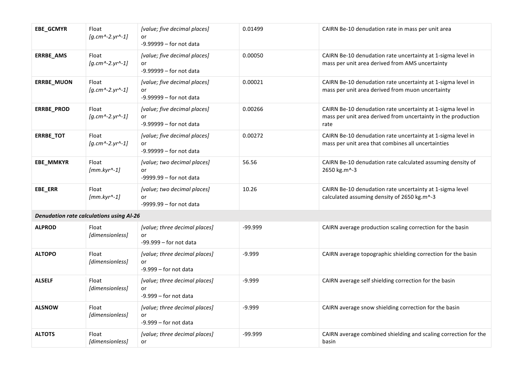| EBE_GCMYR         | Float<br>$[g.cm^{-2}.yr^{-1}]$                  | [value; five decimal places]<br>or<br>$-9.99999 -$ for not data | 0.01499   | CAIRN Be-10 denudation rate in mass per unit area                                                                                    |
|-------------------|-------------------------------------------------|-----------------------------------------------------------------|-----------|--------------------------------------------------------------------------------------------------------------------------------------|
| ERRBE_AMS         | Float<br>$[g.cm^2-2.yr^2-1]$                    | [value; five decimal places]<br>or<br>$-9.99999 -$ for not data | 0.00050   | CAIRN Be-10 denudation rate uncertainty at 1-sigma level in<br>mass per unit area derived from AMS uncertainty                       |
| ERRBE_MUON        | Float<br>$[g.cm^{-2}.yr^{-1}]$                  | [value; five decimal places]<br>or<br>$-9.99999 -$ for not data | 0.00021   | CAIRN Be-10 denudation rate uncertainty at 1-sigma level in<br>mass per unit area derived from muon uncertainty                      |
| <b>ERRBE_PROD</b> | Float<br>$[g.cm^{\wedge} - 2.yr^{\wedge} - 1]$  | [value; five decimal places]<br>or<br>$-9.99999 -$ for not data | 0.00266   | CAIRN Be-10 denudation rate uncertainty at 1-sigma level in<br>mass per unit area derived from uncertainty in the production<br>rate |
| <b>ERRBE_TOT</b>  | Float<br>$[g.cm^{-2}.yr^{-1}]$                  | [value; five decimal places]<br>or<br>$-9.99999 -$ for not data | 0.00272   | CAIRN Be-10 denudation rate uncertainty at 1-sigma level in<br>mass per unit area that combines all uncertainties                    |
| EBE_MMKYR         | Float<br>$[mm.kyr^4-1]$                         | [value; two decimal places]<br>or<br>$-9999.99 -$ for not data  | 56.56     | CAIRN Be-10 denudation rate calculated assuming density of<br>2650 kg.m^-3                                                           |
| EBE_ERR           | Float<br>$[mm.kyr^A-1]$                         | [value; two decimal places]<br>or<br>$-9999.99 -$ for not data  | 10.26     | CAIRN Be-10 denudation rate uncertainty at 1-sigma level<br>calculated assuming density of 2650 kg.m^-3                              |
|                   | <b>Denudation rate calculations using Al-26</b> |                                                                 |           |                                                                                                                                      |
| <b>ALPROD</b>     | Float<br>[dimensionless]                        | [value; three decimal places]<br>or<br>$-99.999 -$ for not data | $-99.999$ | CAIRN average production scaling correction for the basin                                                                            |
| <b>ALTOPO</b>     | Float<br>[dimensionless]                        | [value; three decimal places]<br>or<br>$-9.999 -$ for not data  | $-9.999$  | CAIRN average topographic shielding correction for the basin                                                                         |
| <b>ALSELF</b>     | Float<br>[dimensionless]                        | [value; three decimal places]<br>or<br>$-9.999 -$ for not data  | $-9.999$  | CAIRN average self shielding correction for the basin                                                                                |
| <b>ALSNOW</b>     | Float<br>[dimensionless]                        | [value; three decimal places]<br>or<br>$-9.999 -$ for not data  | $-9.999$  | CAIRN average snow shielding correction for the basin                                                                                |
| <b>ALTOTS</b>     | Float<br>[dimensionless]                        | [value; three decimal places]<br>or                             | -99.999   | CAIRN average combined shielding and scaling correction for the<br>basin                                                             |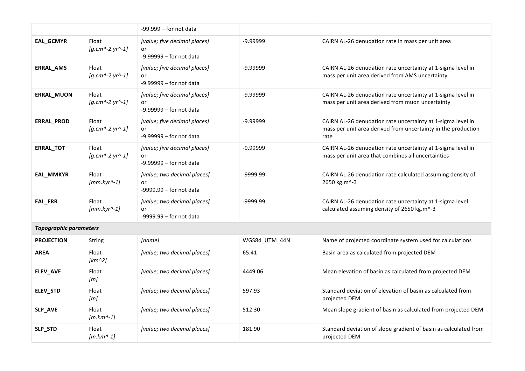|                               |                                | $-99.999 -$ for not data                                        |               |                                                                                                                                      |
|-------------------------------|--------------------------------|-----------------------------------------------------------------|---------------|--------------------------------------------------------------------------------------------------------------------------------------|
| EAL_GCMYR                     | Float<br>$[g.cm^{-2}.yr^{-1}]$ | [value; five decimal places]<br>or<br>$-9.99999 -$ for not data | $-9.99999$    | CAIRN AL-26 denudation rate in mass per unit area                                                                                    |
| ERRAL_AMS                     | Float<br>$[g.cm^{-2}.yr^{-1}]$ | [value; five decimal places]<br>or<br>$-9.99999 -$ for not data | $-9.99999$    | CAIRN AL-26 denudation rate uncertainty at 1-sigma level in<br>mass per unit area derived from AMS uncertainty                       |
| ERRAL_MUON                    | Float<br>$[g.cm^{-2}.yr^{-1}]$ | [value; five decimal places]<br>or<br>$-9.99999 -$ for not data | $-9.99999$    | CAIRN AL-26 denudation rate uncertainty at 1-sigma level in<br>mass per unit area derived from muon uncertainty                      |
| ERRAL_PROD                    | Float<br>$[g.cm^{-2}.yr^{-1}]$ | [value; five decimal places]<br>or<br>$-9.99999 -$ for not data | $-9.99999$    | CAIRN AL-26 denudation rate uncertainty at 1-sigma level in<br>mass per unit area derived from uncertainty in the production<br>rate |
| <b>ERRAL_TOT</b>              | Float<br>$[g.cm^{-2}.yr^{-1}]$ | [value; five decimal places]<br>or<br>$-9.99999 -$ for not data | $-9.99999$    | CAIRN AL-26 denudation rate uncertainty at 1-sigma level in<br>mass per unit area that combines all uncertainties                    |
| EAL_MMKYR                     | Float<br>$[mm.kyr^4-1]$        | [value; two decimal places]<br>or<br>$-9999.99 -$ for not data  | -9999.99      | CAIRN AL-26 denudation rate calculated assuming density of<br>2650 kg.m^-3                                                           |
| EAL_ERR                       | Float<br>$[mm.kyr^{\wedge}-1]$ | [value; two decimal places]<br>or<br>$-9999.99 -$ for not data  | -9999.99      | CAIRN AL-26 denudation rate uncertainty at 1-sigma level<br>calculated assuming density of 2650 kg.m^-3                              |
| <b>Topographic parameters</b> |                                |                                                                 |               |                                                                                                                                      |
| <b>PROJECTION</b>             | String                         | [name]                                                          | WGS84 UTM 44N | Name of projected coordinate system used for calculations                                                                            |
| <b>AREA</b>                   | Float<br>$[km^2]$              | [value; two decimal places]                                     | 65.41         | Basin area as calculated from projected DEM                                                                                          |
| ELEV_AVE                      | Float<br>[m]                   | [value; two decimal places]                                     | 4449.06       | Mean elevation of basin as calculated from projected DEM                                                                             |
| ELEV_STD                      | Float<br>[m]                   | [value; two decimal places]                                     | 597.93        | Standard deviation of elevation of basin as calculated from<br>projected DEM                                                         |
| SLP_AVE                       | Float<br>$[m.km^{\wedge}-1]$   | [value; two decimal places]                                     | 512.30        | Mean slope gradient of basin as calculated from projected DEM                                                                        |
| SLP_STD                       | Float<br>$[m.km^{\wedge}-1]$   | [value; two decimal places]                                     | 181.90        | Standard deviation of slope gradient of basin as calculated from<br>projected DEM                                                    |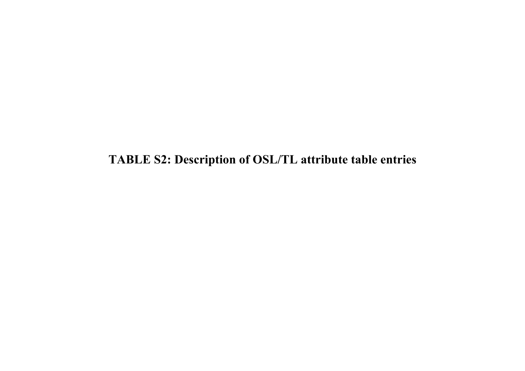**TABLE S2: Description of OSL/TL attribute table entries**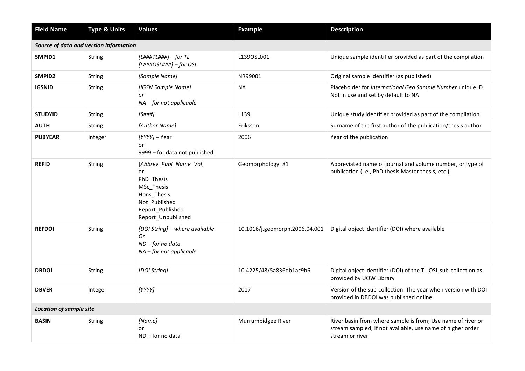| <b>Field Name</b>              | <b>Type &amp; Units</b>                | <b>Values</b>                                                                                                                      | <b>Example</b>                 | <b>Description</b>                                                                                                                           |
|--------------------------------|----------------------------------------|------------------------------------------------------------------------------------------------------------------------------------|--------------------------------|----------------------------------------------------------------------------------------------------------------------------------------------|
|                                | Source of data and version information |                                                                                                                                    |                                |                                                                                                                                              |
| SMPID1                         | String                                 | $[L###TL###] - for TL$<br>$[L##HOSL##H] - for OSL$                                                                                 | L1390SL001                     | Unique sample identifier provided as part of the compilation                                                                                 |
| SMPID <sub>2</sub>             | String                                 | [Sample Name]                                                                                                                      | NR99001                        | Original sample identifier (as published)                                                                                                    |
| <b>IGSNID</b>                  | <b>String</b>                          | [IGSN Sample Name]<br>or<br>$NA$ – for not applicable                                                                              | <b>NA</b>                      | Placeholder for International Geo Sample Number unique ID.<br>Not in use and set by default to NA                                            |
| <b>STUDYID</b>                 | <b>String</b>                          | [S###]                                                                                                                             | L139                           | Unique study identifier provided as part of the compilation                                                                                  |
| <b>AUTH</b>                    | String                                 | [Author Name]                                                                                                                      | Eriksson                       | Surname of the first author of the publication/thesis author                                                                                 |
| <b>PUBYEAR</b>                 | Integer                                | [YYYY] - Year<br>or<br>9999 - for data not published                                                                               | 2006                           | Year of the publication                                                                                                                      |
| <b>REFID</b>                   | String                                 | [Abbrev_Publ_Name_Vol]<br>or<br>PhD_Thesis<br>MSc_Thesis<br>Hons_Thesis<br>Not_Published<br>Report Published<br>Report Unpublished | Geomorphology_81               | Abbreviated name of journal and volume number, or type of<br>publication (i.e., PhD thesis Master thesis, etc.)                              |
| <b>REFDOI</b>                  | <b>String</b>                          | [DOI String] - where available<br>Or<br>$ND$ – for no data<br>NA - for not applicable                                              | 10.1016/j.geomorph.2006.04.001 | Digital object identifier (DOI) where available                                                                                              |
| <b>DBDOI</b>                   | String                                 | [DOI String]                                                                                                                       | 10.4225/48/5a836db1ac9b6       | Digital object identifier (DOI) of the TL-OSL sub-collection as<br>provided by UOW Library                                                   |
| <b>DBVER</b>                   | Integer                                | [YYYY]                                                                                                                             | 2017                           | Version of the sub-collection. The year when version with DOI<br>provided in DBDOI was published online                                      |
| <b>Location of sample site</b> |                                        |                                                                                                                                    |                                |                                                                                                                                              |
| <b>BASIN</b>                   | String                                 | [Name]<br>or<br>$ND$ – for no data                                                                                                 | Murrumbidgee River             | River basin from where sample is from; Use name of river or<br>stream sampled; If not available, use name of higher order<br>stream or river |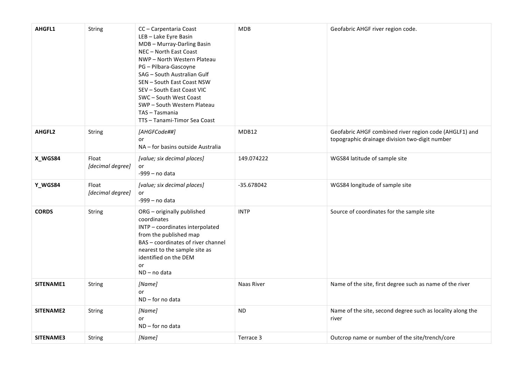| AHGFL1        | <b>String</b>             | CC - Carpentaria Coast<br>LEB-Lake Eyre Basin<br>MDB-Murray-Darling Basin<br>NEC - North East Coast<br>NWP - North Western Plateau<br>PG - Pilbara-Gascoyne<br>SAG - South Australian Gulf<br>SEN - South East Coast NSW<br>SEV - South East Coast VIC<br>SWC - South West Coast<br>SWP - South Western Plateau<br>TAS - Tasmania<br>TTS - Tanami-Timor Sea Coast | MDB          | Geofabric AHGF river region code.                                                                        |
|---------------|---------------------------|-------------------------------------------------------------------------------------------------------------------------------------------------------------------------------------------------------------------------------------------------------------------------------------------------------------------------------------------------------------------|--------------|----------------------------------------------------------------------------------------------------------|
| <b>AHGFL2</b> | String                    | [AHGFCode##]<br>or<br>NA – for basins outside Australia                                                                                                                                                                                                                                                                                                           | MDB12        | Geofabric AHGF combined river region code (AHGLF1) and<br>topographic drainage division two-digit number |
| X_WGS84       | Float<br>[decimal degree] | [value; six decimal places]<br>or<br>-999 - no data                                                                                                                                                                                                                                                                                                               | 149.074222   | WGS84 latitude of sample site                                                                            |
| Y_WGS84       | Float<br>[decimal degree] | [value; six decimal places]<br>or<br>$-999 - no data$                                                                                                                                                                                                                                                                                                             | $-35.678042$ | WGS84 longitude of sample site                                                                           |
| <b>CORDS</b>  | String                    | ORG - originally published<br>coordinates<br>INTP - coordinates interpolated<br>from the published map<br>BAS - coordinates of river channel<br>nearest to the sample site as<br>identified on the DEM<br>or<br>ND-no data                                                                                                                                        | <b>INTP</b>  | Source of coordinates for the sample site                                                                |
| SITENAME1     | String                    | [Name]<br>or<br>ND-for no data                                                                                                                                                                                                                                                                                                                                    | Naas River   | Name of the site, first degree such as name of the river                                                 |
| SITENAME2     | <b>String</b>             | [Name]<br>or<br>$ND$ – for no data                                                                                                                                                                                                                                                                                                                                | ND.          | Name of the site, second degree such as locality along the<br>river                                      |
| SITENAME3     | String                    | [Name]                                                                                                                                                                                                                                                                                                                                                            | Terrace 3    | Outcrop name or number of the site/trench/core                                                           |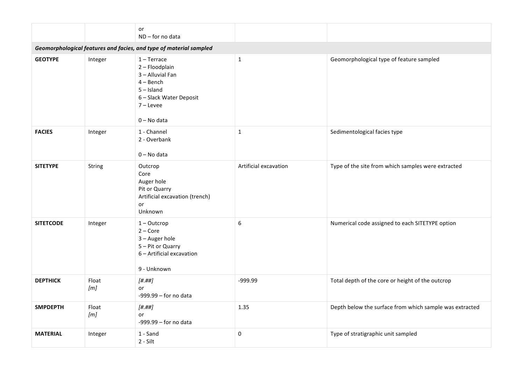|                  |              | or<br>ND-for no data                                                                                                                                 |                       |                                                         |
|------------------|--------------|------------------------------------------------------------------------------------------------------------------------------------------------------|-----------------------|---------------------------------------------------------|
|                  |              | Geomorphological features and facies, and type of material sampled                                                                                   |                       |                                                         |
| <b>GEOTYPE</b>   | Integer      | $1 -$ Terrace<br>2 - Floodplain<br>3 - Alluvial Fan<br>$4 - \text{Bench}$<br>$5 - Island$<br>6 - Slack Water Deposit<br>$7 -$ Levee<br>$0 - No$ data | $\mathbf{1}$          | Geomorphological type of feature sampled                |
| <b>FACIES</b>    | Integer      | 1 - Channel<br>2 - Overbank<br>$0 - No$ data                                                                                                         | $\mathbf{1}$          | Sedimentological facies type                            |
| <b>SITETYPE</b>  | String       | Outcrop<br>Core<br>Auger hole<br>Pit or Quarry<br>Artificial excavation (trench)<br>or<br>Unknown                                                    | Artificial excavation | Type of the site from which samples were extracted      |
| <b>SITETCODE</b> | Integer      | $1 - Out crop$<br>$2 - Core$<br>3 - Auger hole<br>5 - Pit or Quarry<br>6 - Artificial excavation<br>9 - Unknown                                      | 6                     | Numerical code assigned to each SITETYPE option         |
| <b>DEPTHICK</b>  | Float<br>[m] | [# .# #]<br>or<br>$-999.99 -$ for no data                                                                                                            | -999.99               | Total depth of the core or height of the outcrop        |
| <b>SMPDEPTH</b>  | Float<br>[m] | [# .# #]<br>or<br>$-999.99 -$ for no data                                                                                                            | 1.35                  | Depth below the surface from which sample was extracted |
| <b>MATERIAL</b>  | Integer      | 1 - Sand<br>2 - Silt                                                                                                                                 | 0                     | Type of stratigraphic unit sampled                      |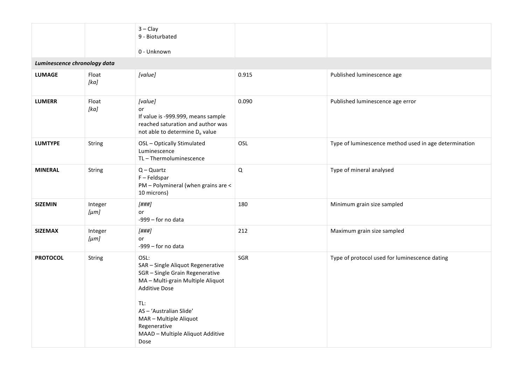|                              |                      | $3 - Clay$<br>9 - Bioturbated<br>0 - Unknown                                                                                                                                                                                                                      |             |                                                       |
|------------------------------|----------------------|-------------------------------------------------------------------------------------------------------------------------------------------------------------------------------------------------------------------------------------------------------------------|-------------|-------------------------------------------------------|
| Luminescence chronology data |                      |                                                                                                                                                                                                                                                                   |             |                                                       |
| <b>LUMAGE</b>                | Float<br>[ka]        | [value]                                                                                                                                                                                                                                                           | 0.915       | Published luminescence age                            |
| <b>LUMERR</b>                | Float<br>[ka]        | [value]<br>or<br>If value is -999.999, means sample<br>reached saturation and author was<br>not able to determine De value                                                                                                                                        | 0.090       | Published luminescence age error                      |
| <b>LUMTYPE</b>               | String               | OSL - Optically Stimulated<br>Luminescence<br>TL-Thermoluminescence                                                                                                                                                                                               | OSL         | Type of luminescence method used in age determination |
| <b>MINERAL</b>               | String               | $Q - Quartz$<br>$F - Feldspar$<br>PM - Polymineral (when grains are <<br>10 microns)                                                                                                                                                                              | $\mathsf Q$ | Type of mineral analysed                              |
| <b>SIZEMIN</b>               | Integer<br>$[\mu m]$ | [###]<br>or<br>-999 - for no data                                                                                                                                                                                                                                 | 180         | Minimum grain size sampled                            |
| <b>SIZEMAX</b>               | Integer<br>$[\mu m]$ | $[$ ###]<br>or<br>-999 - for no data                                                                                                                                                                                                                              | 212         | Maximum grain size sampled                            |
| <b>PROTOCOL</b>              | String               | OSL:<br>SAR - Single Aliquot Regenerative<br>SGR - Single Grain Regenerative<br>MA - Multi-grain Multiple Aliquot<br><b>Additive Dose</b><br>TL:<br>AS - 'Australian Slide'<br>MAR - Multiple Aliquot<br>Regenerative<br>MAAD - Multiple Aliquot Additive<br>Dose | SGR         | Type of protocol used for luminescence dating         |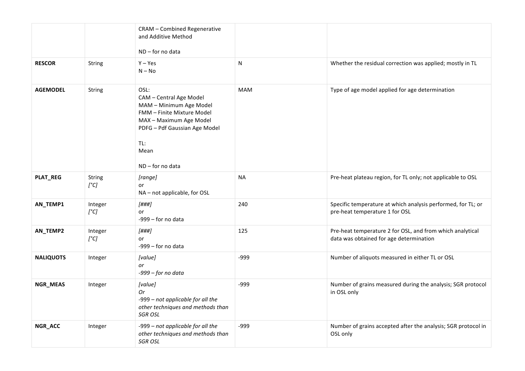|                  |                          | <b>CRAM - Combined Regenerative</b><br>and Additive Method<br>$ND$ – for no data                                                                                                          |            |                                                                                                      |
|------------------|--------------------------|-------------------------------------------------------------------------------------------------------------------------------------------------------------------------------------------|------------|------------------------------------------------------------------------------------------------------|
| <b>RESCOR</b>    | String                   | $Y - Yes$<br>$N - No$                                                                                                                                                                     | N          | Whether the residual correction was applied; mostly in TL                                            |
| <b>AGEMODEL</b>  | String                   | OSL:<br>CAM - Central Age Model<br>MAM - Minimum Age Model<br>FMM - Finite Mixture Model<br>MAX - Maximum Age Model<br>PDFG - Pdf Gaussian Age Model<br>TL:<br>Mean<br>$ND$ – for no data | <b>MAM</b> | Type of age model applied for age determination                                                      |
| <b>PLAT_REG</b>  | String<br>$[^{\circ}C]$  | [range]<br>or<br>NA - not applicable, for OSL                                                                                                                                             | <b>NA</b>  | Pre-heat plateau region, for TL only; not applicable to OSL                                          |
| AN_TEMP1         | Integer<br>$[^{\circ}C]$ | $[$ \#<br>or<br>$-999$ – for no data                                                                                                                                                      | 240        | Specific temperature at which analysis performed, for TL; or<br>pre-heat temperature 1 for OSL       |
| AN_TEMP2         | Integer<br>$[^{\circ}C]$ | $[$ \#<br>or<br>$-999$ - for no data                                                                                                                                                      | 125        | Pre-heat temperature 2 for OSL, and from which analytical<br>data was obtained for age determination |
| <b>NALIQUOTS</b> | Integer                  | [value]<br>or<br>$-999$ - for no data                                                                                                                                                     | $-999$     | Number of aliquots measured in either TL or OSL                                                      |
| NGR_MEAS         | Integer                  | [value]<br>0r<br>-999 - not applicable for all the<br>other techniques and methods than<br><b>SGR OSL</b>                                                                                 | $-999$     | Number of grains measured during the analysis; SGR protocol<br>in OSL only                           |
| NGR_ACC          | Integer                  | -999 - not applicable for all the<br>other techniques and methods than<br><b>SGR OSL</b>                                                                                                  | $-999$     | Number of grains accepted after the analysis; SGR protocol in<br>OSL only                            |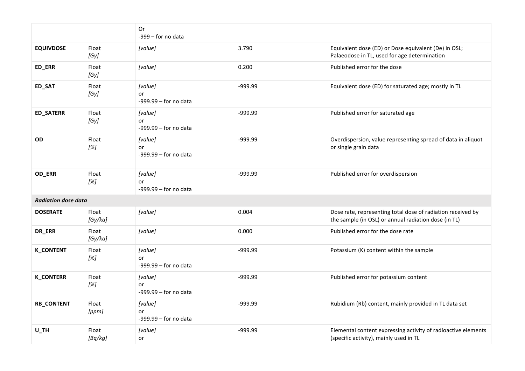|                            |                  | 0r<br>$-999$ - for no data               |         |                                                                                                                     |  |  |
|----------------------------|------------------|------------------------------------------|---------|---------------------------------------------------------------------------------------------------------------------|--|--|
| <b>EQUIVDOSE</b>           | Float<br>[Gy]    | [value]                                  | 3.790   | Equivalent dose (ED) or Dose equivalent (De) in OSL;<br>Palaeodose in TL, used for age determination                |  |  |
| ED_ERR                     | Float<br>[Gy]    | [value]                                  | 0.200   | Published error for the dose                                                                                        |  |  |
| ED_SAT                     | Float<br>[Gy]    | [value]<br>or<br>$-999.99 -$ for no data | -999.99 | Equivalent dose (ED) for saturated age; mostly in TL                                                                |  |  |
| ED_SATERR                  | Float<br>[Gy]    | [value]<br>or<br>$-999.99 -$ for no data | -999.99 | Published error for saturated age                                                                                   |  |  |
| OD                         | Float<br>[%]     | [value]<br>or<br>$-999.99 -$ for no data | -999.99 | Overdispersion, value representing spread of data in aliquot<br>or single grain data                                |  |  |
| OD_ERR                     | Float<br>[%]     | [value]<br>or<br>$-999.99 -$ for no data | -999.99 | Published error for overdispersion                                                                                  |  |  |
| <b>Radiation dose data</b> |                  |                                          |         |                                                                                                                     |  |  |
| <b>DOSERATE</b>            | Float<br>[Gy/ka] | [value]                                  | 0.004   | Dose rate, representing total dose of radiation received by<br>the sample (in OSL) or annual radiation dose (in TL) |  |  |
| DR_ERR                     | Float<br>[Gy/ka] | [value]                                  | 0.000   | Published error for the dose rate                                                                                   |  |  |
| <b>K_CONTENT</b>           | Float<br>[%]     | [value]<br>or<br>$-999.99 -$ for no data | -999.99 | Potassium (K) content within the sample                                                                             |  |  |
| <b>K_CONTERR</b>           | Float<br>[%]     | [value]<br>or<br>$-999.99 -$ for no data | -999.99 | Published error for potassium content                                                                               |  |  |
| <b>RB_CONTENT</b>          | Float<br>[ppm]   | [value]<br>or<br>$-999.99 -$ for no data | -999.99 | Rubidium (Rb) content, mainly provided in TL data set                                                               |  |  |
| $U_$ TH                    | Float<br>[Bq/kg] | [value]<br>or                            | -999.99 | Elemental content expressing activity of radioactive elements<br>(specific activity), mainly used in TL             |  |  |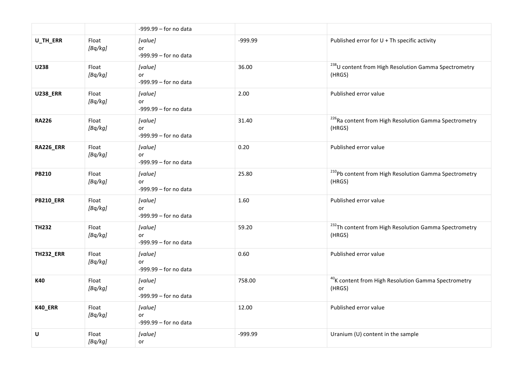|                  |                  | $-999.99 -$ for no data                  |         |                                                                             |
|------------------|------------------|------------------------------------------|---------|-----------------------------------------------------------------------------|
| U_TH_ERR         | Float<br>[Bq/kg] | [value]<br>or<br>$-999.99 -$ for no data | -999.99 | Published error for U + Th specific activity                                |
| U238             | Float<br>[Bq/kg] | [value]<br>or<br>$-999.99 -$ for no data | 36.00   | <sup>238</sup> U content from High Resolution Gamma Spectrometry<br>(HRGS)  |
| <b>U238_ERR</b>  | Float<br>[Bq/kg] | [value]<br>or<br>$-999.99 -$ for no data | 2.00    | Published error value                                                       |
| <b>RA226</b>     | Float<br>[Bq/kg] | [value]<br>or<br>$-999.99 -$ for no data | 31.40   | <sup>226</sup> Ra content from High Resolution Gamma Spectrometry<br>(HRGS) |
| <b>RA226_ERR</b> | Float<br>[Bq/kg] | [value]<br>or<br>$-999.99 -$ for no data | 0.20    | Published error value                                                       |
| <b>PB210</b>     | Float<br>[Bq/kg] | [value]<br>or<br>$-999.99 -$ for no data | 25.80   | <sup>210</sup> Pb content from High Resolution Gamma Spectrometry<br>(HRGS) |
| <b>PB210_ERR</b> | Float<br>[Bq/kg] | [value]<br>or<br>$-999.99 -$ for no data | 1.60    | Published error value                                                       |
| <b>TH232</b>     | Float<br>[Bq/kg] | [value]<br>or<br>$-999.99 -$ for no data | 59.20   | <sup>232</sup> Th content from High Resolution Gamma Spectrometry<br>(HRGS) |
| <b>TH232_ERR</b> | Float<br>[Bq/kg] | [value]<br>or<br>$-999.99 -$ for no data | 0.60    | Published error value                                                       |
| K40              | Float<br>[Bq/kg] | [value]<br>or<br>$-999.99 -$ for no data | 758.00  | <sup>40</sup> K content from High Resolution Gamma Spectrometry<br>(HRGS)   |
| K40_ERR          | Float<br>[Bq/kg] | [value]<br>or<br>$-999.99 -$ for no data | 12.00   | Published error value                                                       |
| U                | Float<br>[Bq/kg] | [value]<br>or                            | -999.99 | Uranium (U) content in the sample                                           |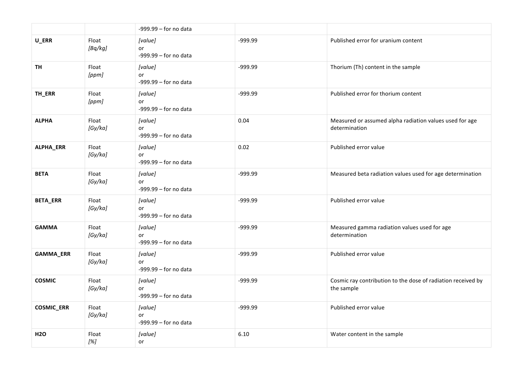|                   |                  | -999.99 - for no data                    |           |                                                                            |
|-------------------|------------------|------------------------------------------|-----------|----------------------------------------------------------------------------|
| U_ERR             | Float<br>[Bq/kg] | [value]<br>or<br>$-999.99 -$ for no data | -999.99   | Published error for uranium content                                        |
| <b>TH</b>         | Float<br>[ppm]   | [value]<br>or<br>$-999.99 -$ for no data | $-999.99$ | Thorium (Th) content in the sample                                         |
| TH_ERR            | Float<br>[ppm]   | [value]<br>or<br>$-999.99 -$ for no data | -999.99   | Published error for thorium content                                        |
| <b>ALPHA</b>      | Float<br>[Gy/ka] | [value]<br>or<br>$-999.99 -$ for no data | 0.04      | Measured or assumed alpha radiation values used for age<br>determination   |
| ALPHA_ERR         | Float<br>[Gy/ka] | [value]<br>or<br>$-999.99 -$ for no data | 0.02      | Published error value                                                      |
| <b>BETA</b>       | Float<br>[Gy/ka] | [value]<br>or<br>$-999.99 -$ for no data | -999.99   | Measured beta radiation values used for age determination                  |
| <b>BETA_ERR</b>   | Float<br>[Gy/ka] | [value]<br>or<br>$-999.99 -$ for no data | -999.99   | Published error value                                                      |
| <b>GAMMA</b>      | Float<br>[Gy/ka] | [value]<br>or<br>$-999.99 -$ for no data | -999.99   | Measured gamma radiation values used for age<br>determination              |
| GAMMA_ERR         | Float<br>[Gy/ka] | [value]<br>or<br>$-999.99 -$ for no data | -999.99   | Published error value                                                      |
| <b>COSMIC</b>     | Float<br>[Gy/ka] | [value]<br>or<br>$-999.99 -$ for no data | -999.99   | Cosmic ray contribution to the dose of radiation received by<br>the sample |
| <b>COSMIC_ERR</b> | Float<br>[Gy/ka] | [value]<br>or<br>$-999.99 -$ for no data | -999.99   | Published error value                                                      |
| <b>H2O</b>        | Float<br>[%]     | [value]<br>or                            | 6.10      | Water content in the sample                                                |